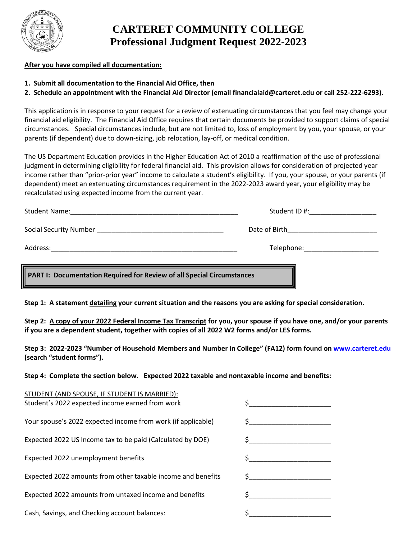

# **CARTERET COMMUNITY COLLEGE Professional Judgment Request 2022-2023**

### **After you have compiled all documentation:**

- **1. Submit all documentation to the Financial Aid Office, then**
- **2. Schedule an appointment with the Financial Aid Director (email financialaid@carteret.edu or call 252-222-6293).**

This application is in response to your request for a review of extenuating circumstances that you feel may change your financial aid eligibility. The Financial Aid Office requires that certain documents be provided to support claims of special circumstances. Special circumstances include, but are not limited to, loss of employment by you, your spouse, or your parents (if dependent) due to down-sizing, job relocation, lay-off, or medical condition.

The US Department Education provides in the Higher Education Act of 2010 a reaffirmation of the use of professional judgment in determining eligibility for federal financial aid. This provision allows for consideration of projected year income rather than "prior-prior year" income to calculate a student's eligibility. If you, your spouse, or your parents (if dependent) meet an extenuating circumstances requirement in the 2022-2023 award year, your eligibility may be recalculated using expected income from the current year.

| PART I: Documentation Required for Review of all Special Circumstances                                                                       |                                   |  |  |
|----------------------------------------------------------------------------------------------------------------------------------------------|-----------------------------------|--|--|
|                                                                                                                                              |                                   |  |  |
| Address:                                                                                                                                     |                                   |  |  |
| Social Security Number <b>Social Security Number</b>                                                                                         | Date of Birth                     |  |  |
| <b>Student Name:</b><br><u> 1980 - Jan James James Jan James James James James James James James James James James James James James Jam</u> | Student ID #: ___________________ |  |  |

**Step 1: A statement detailing your current situation and the reasons you are asking for special consideration.**

**Step 2: A copy of your 2022 Federal Income Tax Transcript for you, your spouse if you have one, and/or your parents if you are a dependent student, together with copies of all 2022 W2 forms and/or LES forms.** 

**Step 3: 2022-2023 "Number of Household Members and Number in College" (FA12) form found on [www.carteret.edu](http://www.carteret.edu/) (search "student forms").**

**Step 4: Complete the section below. Expected 2022 taxable and nontaxable income and benefits:**

| STUDENT (AND SPOUSE, IF STUDENT IS MARRIED):<br>Student's 2022 expected income earned from work |  |
|-------------------------------------------------------------------------------------------------|--|
|                                                                                                 |  |
| Your spouse's 2022 expected income from work (if applicable)                                    |  |
| Expected 2022 US Income tax to be paid (Calculated by DOE)                                      |  |
| Expected 2022 unemployment benefits                                                             |  |
| Expected 2022 amounts from other taxable income and benefits                                    |  |
| Expected 2022 amounts from untaxed income and benefits                                          |  |
| Cash, Savings, and Checking account balances:                                                   |  |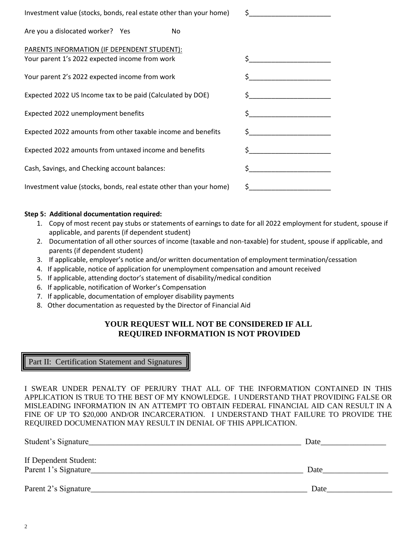| Investment value (stocks, bonds, real estate other than your home)                            | \$.                                                                                                                                                                                                                                                                                              |
|-----------------------------------------------------------------------------------------------|--------------------------------------------------------------------------------------------------------------------------------------------------------------------------------------------------------------------------------------------------------------------------------------------------|
| Are you a dislocated worker? Yes<br>No                                                        |                                                                                                                                                                                                                                                                                                  |
| PARENTS INFORMATION (IF DEPENDENT STUDENT):<br>Your parent 1's 2022 expected income from work |                                                                                                                                                                                                                                                                                                  |
| Your parent 2's 2022 expected income from work                                                | \$                                                                                                                                                                                                                                                                                               |
| Expected 2022 US Income tax to be paid (Calculated by DOE)                                    |                                                                                                                                                                                                                                                                                                  |
| Expected 2022 unemployment benefits                                                           | $\zeta$ and $\zeta$                                                                                                                                                                                                                                                                              |
| Expected 2022 amounts from other taxable income and benefits                                  |                                                                                                                                                                                                                                                                                                  |
| Expected 2022 amounts from untaxed income and benefits                                        | \$                                                                                                                                                                                                                                                                                               |
| Cash, Savings, and Checking account balances:                                                 | $\mathsf{S}$ and $\mathsf{S}$ and $\mathsf{S}$ are $\mathsf{S}$ and $\mathsf{S}$ and $\mathsf{S}$ are $\mathsf{S}$ and $\mathsf{S}$ are $\mathsf{S}$ and $\mathsf{S}$ are $\mathsf{S}$ and $\mathsf{S}$ are $\mathsf{S}$ and $\mathsf{S}$ are $\mathsf{S}$ and $\mathsf{S}$ are $\mathsf{S}$ and |
| Investment value (stocks, bonds, real estate other than your home)                            | \$.                                                                                                                                                                                                                                                                                              |

#### **Step 5: Additional documentation required:**

- 1. Copy of most recent pay stubs or statements of earnings to date for all 2022 employment for student, spouse if applicable, and parents (if dependent student)
- 2. Documentation of all other sources of income (taxable and non-taxable) for student, spouse if applicable, and parents (if dependent student)
- 3. If applicable, employer's notice and/or written documentation of employment termination/cessation
- 4. If applicable, notice of application for unemployment compensation and amount received
- 5. If applicable, attending doctor's statement of disability/medical condition
- 6. If applicable, notification of Worker's Compensation
- 7. If applicable, documentation of employer disability payments
- 8. Other documentation as requested by the Director of Financial Aid

#### **YOUR REQUEST WILL NOT BE CONSIDERED IF ALL REQUIRED INFORMATION IS NOT PROVIDED**

Part II: Certification Statement and Signatures

I SWEAR UNDER PENALTY OF PERJURY THAT ALL OF THE INFORMATION CONTAINED IN THIS APPLICATION IS TRUE TO THE BEST OF MY KNOWLEDGE. I UNDERSTAND THAT PROVIDING FALSE OR MISLEADING INFORMATION IN AN ATTEMPT TO OBTAIN FEDERAL FINANCIAL AID CAN RESULT IN A FINE OF UP TO \$20,000 AND/OR INCARCERATION. I UNDERSTAND THAT FAILURE TO PROVIDE THE REQUIRED DOCUMENATION MAY RESULT IN DENIAL OF THIS APPLICATION.

| Student's Signature   | Date |
|-----------------------|------|
| If Dependent Student: |      |
| Parent 1's Signature  | Date |
| Parent 2's Signature  | Date |